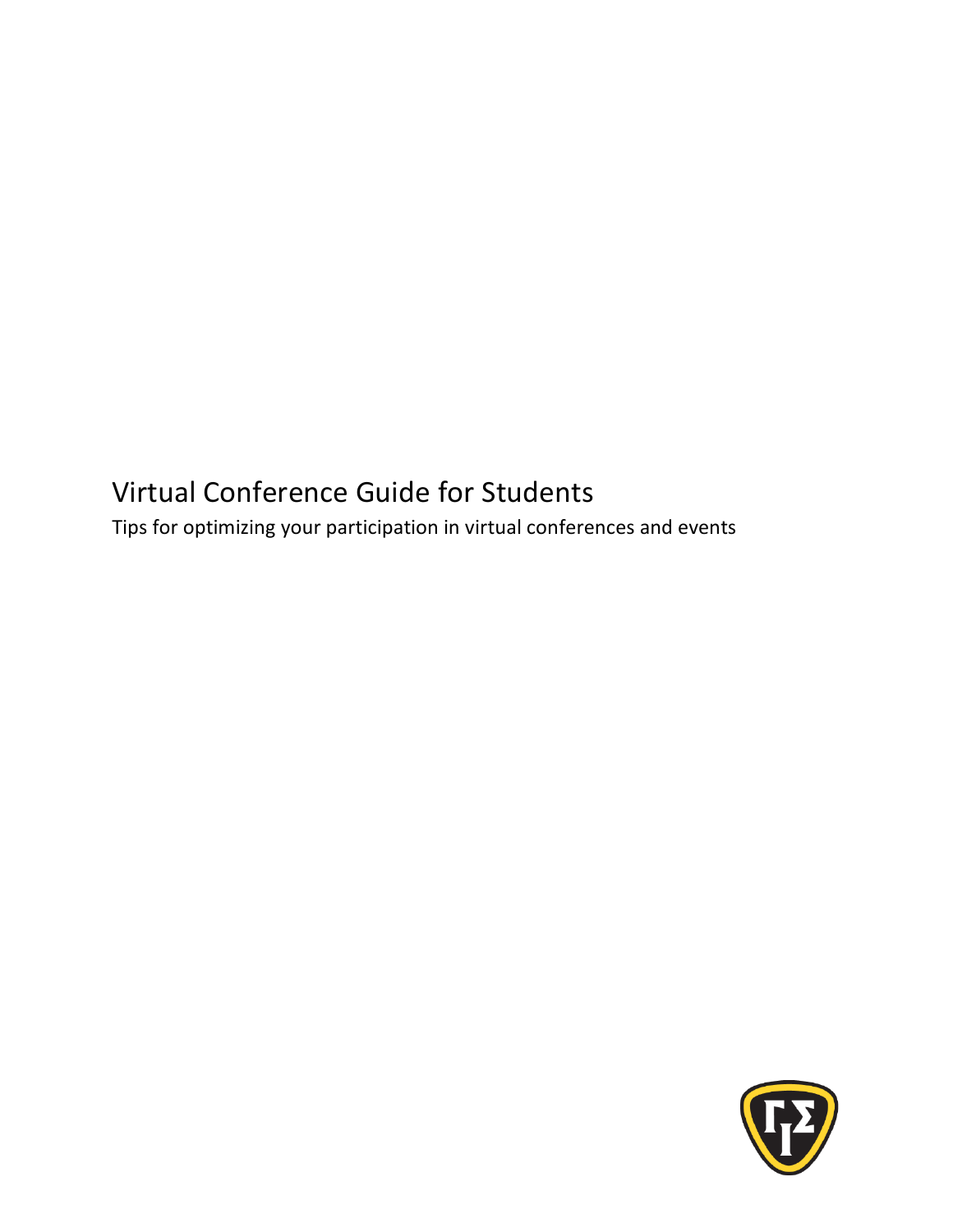# Virtual Conference Guide for Students

Tips for optimizing your participation in virtual conferences and events

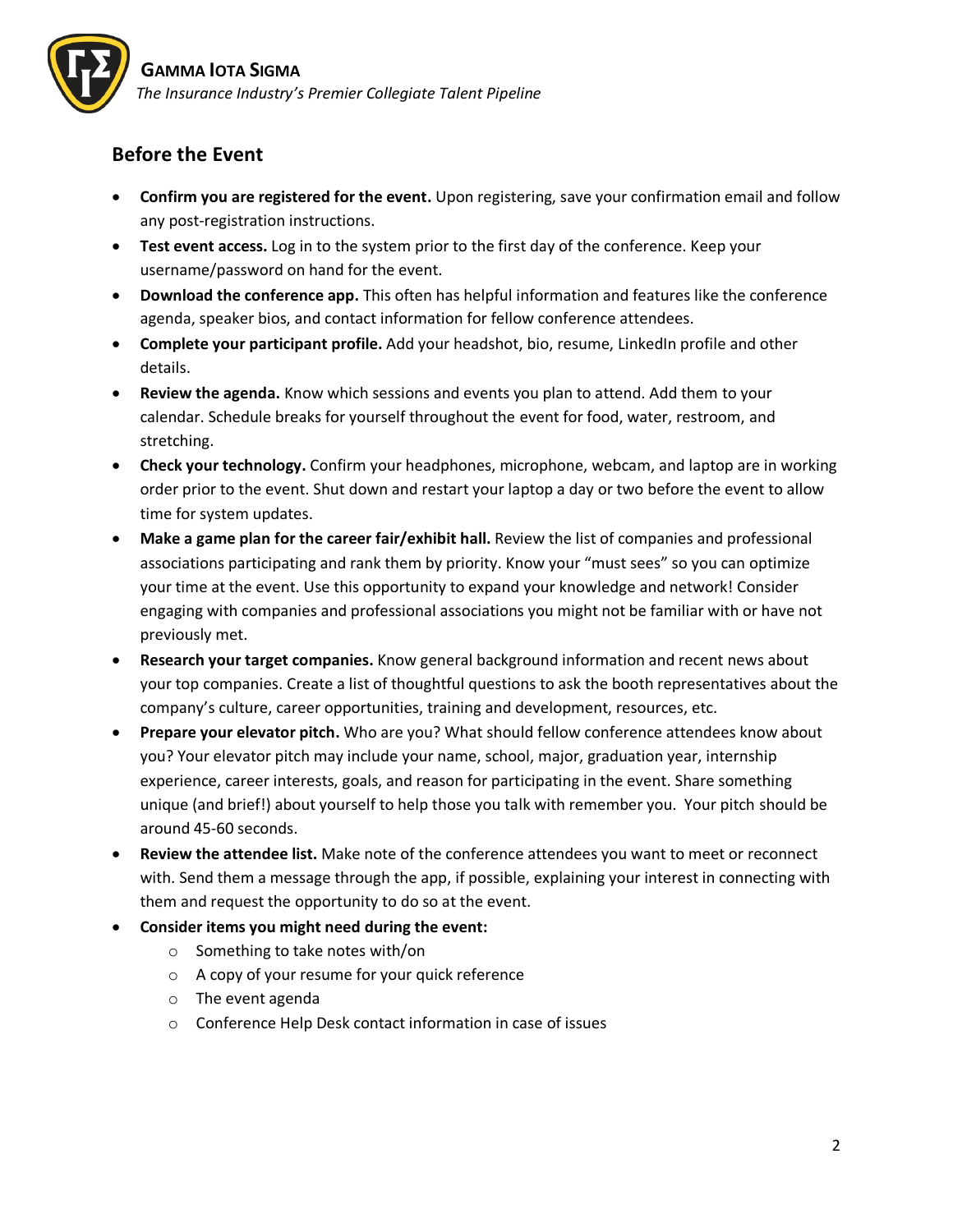

### **Before the Event**

- **Confirm you are registered for the event.** Upon registering, save your confirmation email and follow any post-registration instructions.
- **Test event access.** Log in to the system prior to the first day of the conference. Keep your username/password on hand for the event.
- **Download the conference app.** This often has helpful information and features like the conference agenda, speaker bios, and contact information for fellow conference attendees.
- **Complete your participant profile.** Add your headshot, bio, resume, LinkedIn profile and other details.
- **Review the agenda.** Know which sessions and events you plan to attend. Add them to your calendar. Schedule breaks for yourself throughout the event for food, water, restroom, and stretching.
- **Check your technology.** Confirm your headphones, microphone, webcam, and laptop are in working order prior to the event. Shut down and restart your laptop a day or two before the event to allow time for system updates.
- **Make a game plan for the career fair/exhibit hall.** Review the list of companies and professional associations participating and rank them by priority. Know your "must sees" so you can optimize your time at the event. Use this opportunity to expand your knowledge and network! Consider engaging with companies and professional associations you might not be familiar with or have not previously met.
- **Research your target companies.** Know general background information and recent news about your top companies. Create a list of thoughtful questions to ask the booth representatives about the company's culture, career opportunities, training and development, resources, etc.
- **Prepare your elevator pitch.** Who are you? What should fellow conference attendees know about you? Your elevator pitch may include your name, school, major, graduation year, internship experience, career interests, goals, and reason for participating in the event. Share something unique (and brief!) about yourself to help those you talk with remember you. Your pitch should be around 45-60 seconds.
- **Review the attendee list.** Make note of the conference attendees you want to meet or reconnect with. Send them a message through the app, if possible, explaining your interest in connecting with them and request the opportunity to do so at the event.
- **Consider items you might need during the event:**
	- o Something to take notes with/on
	- o A copy of your resume for your quick reference
	- o The event agenda
	- o Conference Help Desk contact information in case of issues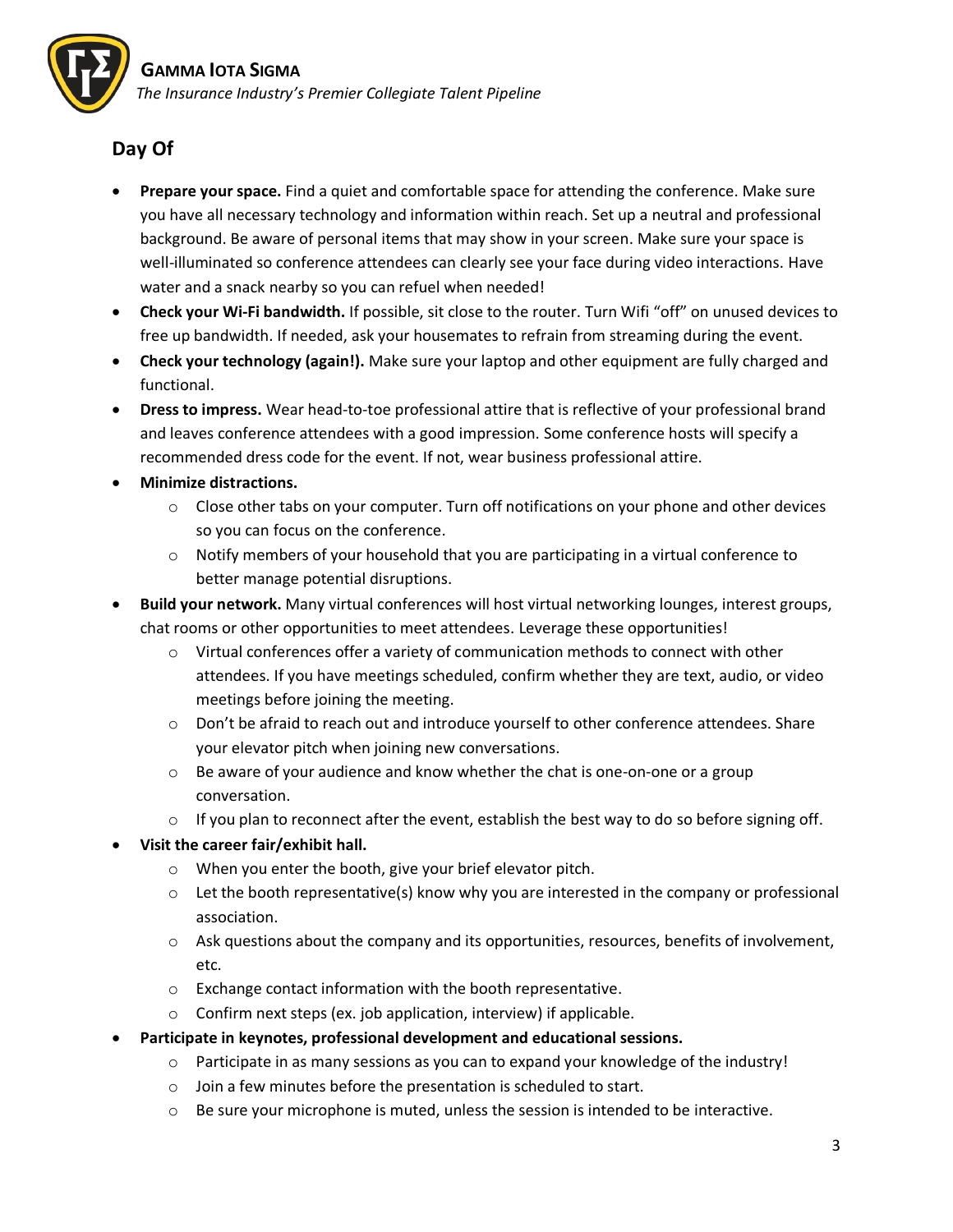

## **Day Of**

- **Prepare your space.** Find a quiet and comfortable space for attending the conference. Make sure you have all necessary technology and information within reach. Set up a neutral and professional background. Be aware of personal items that may show in your screen. Make sure your space is well-illuminated so conference attendees can clearly see your face during video interactions. Have water and a snack nearby so you can refuel when needed!
- **Check your Wi-Fi bandwidth.** If possible, sit close to the router. Turn Wifi "off" on unused devices to free up bandwidth. If needed, ask your housemates to refrain from streaming during the event.
- **Check your technology (again!).** Make sure your laptop and other equipment are fully charged and functional.
- **Dress to impress.** Wear head-to-toe professional attire that is reflective of your professional brand and leaves conference attendees with a good impression. Some conference hosts will specify a recommended dress code for the event. If not, wear business professional attire.
- **Minimize distractions.**
	- $\circ$  Close other tabs on your computer. Turn off notifications on your phone and other devices so you can focus on the conference.
	- $\circ$  Notify members of your household that you are participating in a virtual conference to better manage potential disruptions.
- **Build your network.** Many virtual conferences will host virtual networking lounges, interest groups, chat rooms or other opportunities to meet attendees. Leverage these opportunities!
	- $\circ$  Virtual conferences offer a variety of communication methods to connect with other attendees. If you have meetings scheduled, confirm whether they are text, audio, or video meetings before joining the meeting.
	- o Don't be afraid to reach out and introduce yourself to other conference attendees. Share your elevator pitch when joining new conversations.
	- $\circ$  Be aware of your audience and know whether the chat is one-on-one or a group conversation.
	- $\circ$  If you plan to reconnect after the event, establish the best way to do so before signing off.
- **Visit the career fair/exhibit hall.**
	- o When you enter the booth, give your brief elevator pitch.
	- $\circ$  Let the booth representative(s) know why you are interested in the company or professional association.
	- $\circ$  Ask questions about the company and its opportunities, resources, benefits of involvement, etc.
	- o Exchange contact information with the booth representative.
	- o Confirm next steps (ex. job application, interview) if applicable.
- **Participate in keynotes, professional development and educational sessions.**
	- $\circ$  Participate in as many sessions as you can to expand your knowledge of the industry!
	- o Join a few minutes before the presentation is scheduled to start.
	- $\circ$  Be sure your microphone is muted, unless the session is intended to be interactive.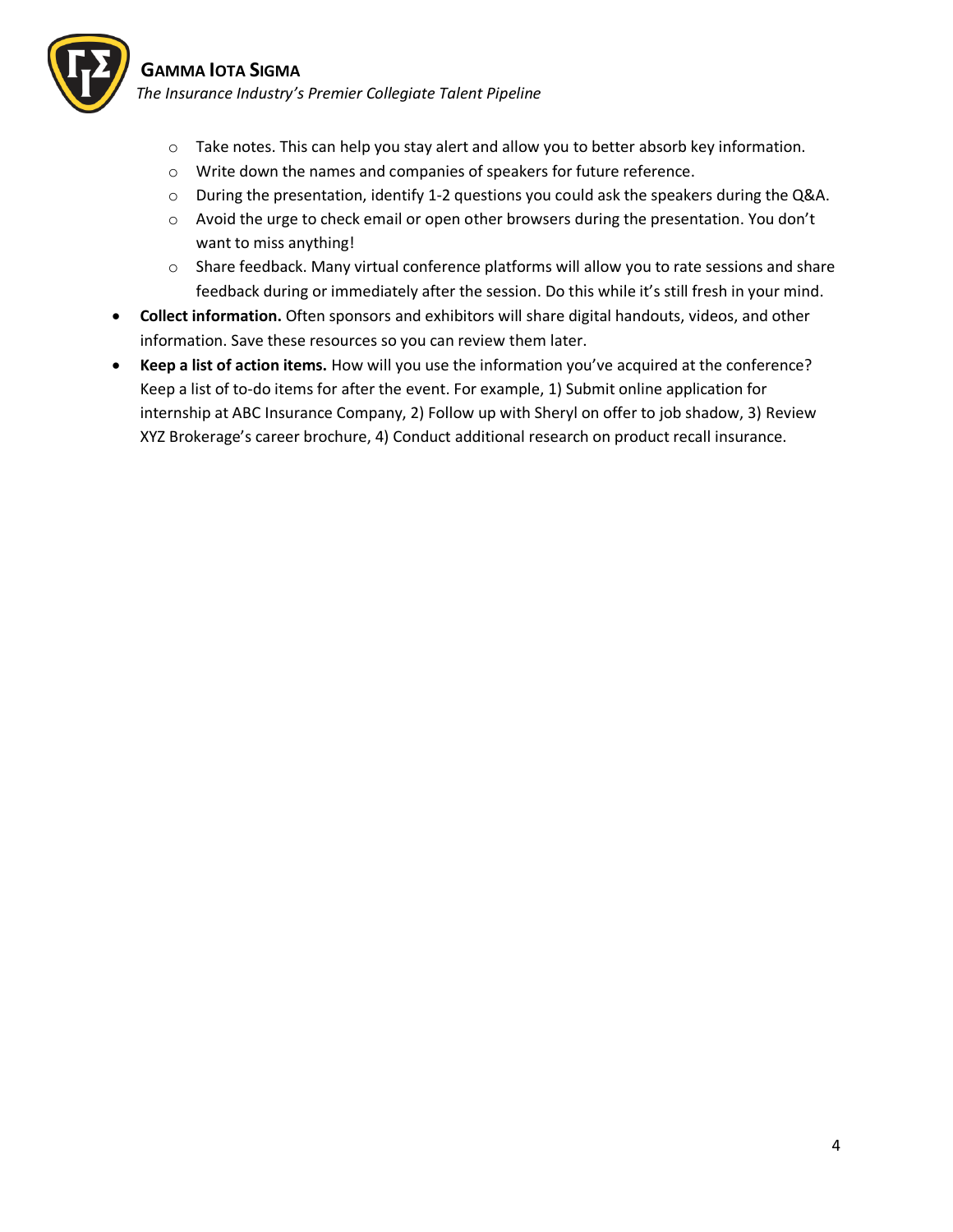

#### **GAMMA IOTA SIGMA**

*The Insurance Industry's Premier Collegiate Talent Pipeline*

- $\circ$  Take notes. This can help you stay alert and allow you to better absorb key information.
- o Write down the names and companies of speakers for future reference.
- $\circ$  During the presentation, identify 1-2 questions you could ask the speakers during the Q&A.
- o Avoid the urge to check email or open other browsers during the presentation. You don't want to miss anything!
- $\circ$  Share feedback. Many virtual conference platforms will allow you to rate sessions and share feedback during or immediately after the session. Do this while it's still fresh in your mind.
- **Collect information.** Often sponsors and exhibitors will share digital handouts, videos, and other information. Save these resources so you can review them later.
- **Keep a list of action items.** How will you use the information you've acquired at the conference? Keep a list of to-do items for after the event. For example, 1) Submit online application for internship at ABC Insurance Company, 2) Follow up with Sheryl on offer to job shadow, 3) Review XYZ Brokerage's career brochure, 4) Conduct additional research on product recall insurance.